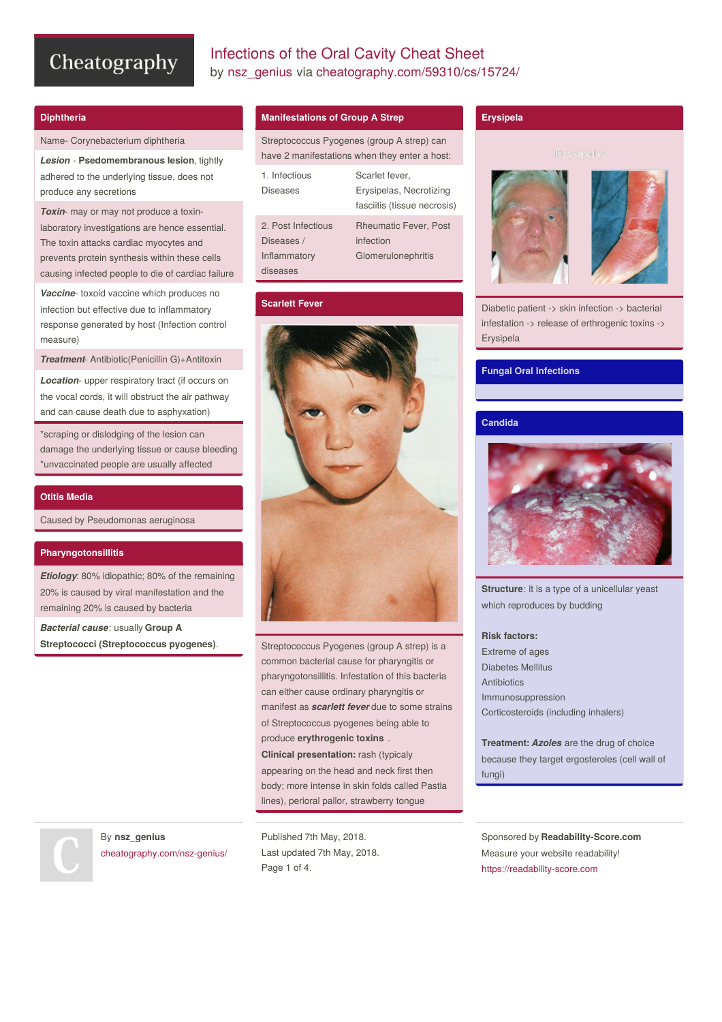# Infections of the Oral Cavity Cheat Sheet by [nsz\\_genius](http://www.cheatography.com/nsz-genius/) via [cheatography.com/59310/cs/15724/](http://www.cheatography.com/nsz-genius/cheat-sheets/infections-of-the-oral-cavity)

# **Diphtheria**

Name- Corynebacterium diphtheria

*Lesion* - **Psedomembranous lesion**, tightly adhered to the underlying tissue, does not produce any secretions

*Toxin*- may or may not produce a toxinlaboratory investigations are hence essential. The toxin attacks cardiac myocytes and prevents protein synthesis within these cells causing infected people to die of cardiac failure

*Vaccine*- toxoid vaccine which produces no infection but effective due to inflammatory response generated by host (Infection control measure)

*Treatment*- Antibiotic(Penicillin G)+Antitoxin

*Location*- upper respiratory tract (if occurs on the vocal cords, it will obstruct the air pathway and can cause death due to asphyxation)

\*scraping or dislodging of the lesion can damage the underlying tissue or cause bleeding \*unvaccinated people are usually affected

## **Otitis Media**

Caused by Pseudomonas aeruginosa

# **Pharyngotonsillitis**

*Etiology*: 80% idiopathic; 80% of the remaining 20% is caused by viral manifestation and the remaining 20% is caused by bacteria

*Bacterial cause*: usually **Group A Streptococci (Streptococcus pyogenes)**.

# **Manifestations of Group A Strep**

Streptococcus Pyogenes (group A strep) can have 2 manifestations when they enter a host:

| 1. Infectious<br>Diseases                                    | Scarlet fever,<br>Erysipelas, Necrotizing<br>fasciitis (tissue necrosis) |
|--------------------------------------------------------------|--------------------------------------------------------------------------|
| 2. Post Infectious<br>Diseases /<br>Inflammatory<br>diseases | <b>Rheumatic Fever, Post</b><br>infection<br>Glomerulonephritis          |

## **Scarlett Fever**



Streptococcus Pyogenes (group A strep) is a common bacterial cause for pharyngitis or pharyngotonsillitis. Infestation of this bacteria can either cause ordinary pharyngitis or manifest as *scarlett fever* due to some strains of Streptococcus pyogenes being able to produce **erythrogenic toxins** . **Clinical presentation:** rash (typicaly appearing on the head and neck first then body; more intense in skin folds called Pastia lines), perioral pallor, strawberry tongue

By **nsz\_genius** [cheatography.com/nsz-genius/](http://www.cheatography.com/nsz-genius/)

Published 7th May, 2018. Last updated 7th May, 2018. Page 1 of 4.

# **Erysipela**



Diabetic patient -> skin infection -> bacterial infestation -> release of erthrogenic toxins -> Erysipela

# **Fungal Oral Infections**

# **Candida**



**Structure**: it is a type of a unicellular yeast which reproduces by budding

#### **Risk factors:**

Extreme of ages Diabetes Mellitus **Antibiotics** Immunosuppression Corticosteroids (including inhalers)

**Treatment:** *Azoles* are the drug of choice because they target ergosteroles (cell wall of fungi)

Sponsored by **Readability-Score.com** Measure your website readability! <https://readability-score.com>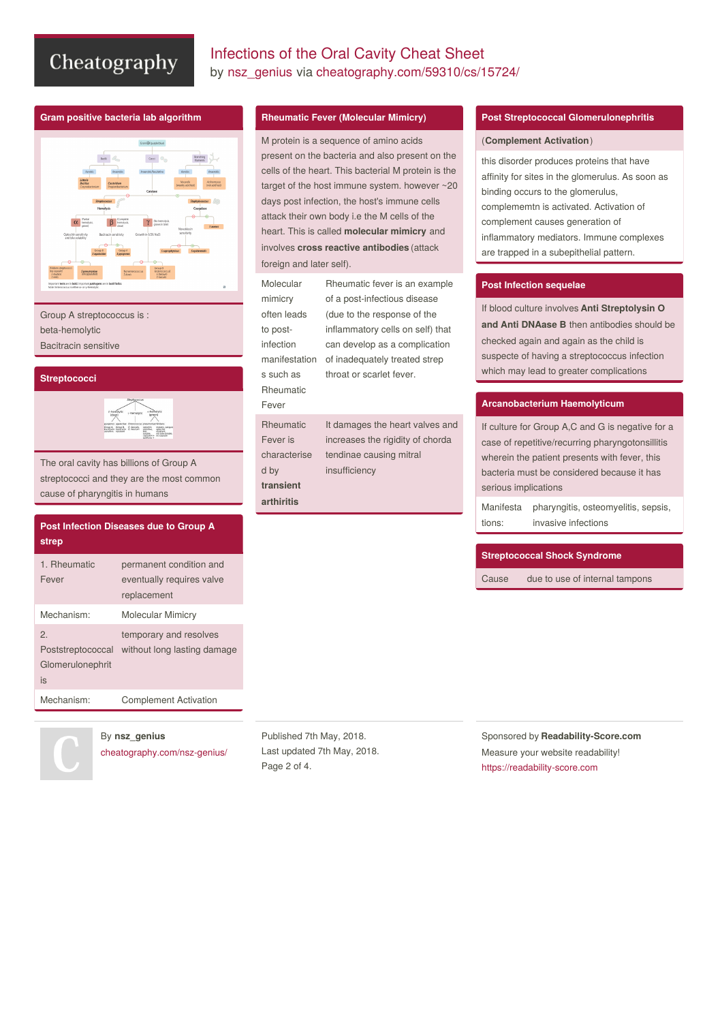# Infections of the Oral Cavity Cheat Sheet by [nsz\\_genius](http://www.cheatography.com/nsz-genius/) via [cheatography.com/59310/cs/15724/](http://www.cheatography.com/nsz-genius/cheat-sheets/infections-of-the-oral-cavity)

## **Gram positive bacteria lab algorithm**



Group A streptococcus is : beta-hemolytic

Bacitracin sensitive

#### **Streptococci**



The oral cavity has billions of Group A streptococci and they are the most common cause of pharyngitis in humans

| <b>Post Infection Diseases due to Group A</b><br>strep               |                                                                     |  |
|----------------------------------------------------------------------|---------------------------------------------------------------------|--|
| 1. Rheumatic<br>Fever                                                | permanent condition and<br>eventually requires valve<br>replacement |  |
| Mechanism:                                                           | Molecular Mimicry                                                   |  |
| $\mathcal{P}_{\cdot}$<br>Poststreptococcal<br>Glomerulonephrit<br>is | temporary and resolves<br>without long lasting damage               |  |
| Mechanism:                                                           | <b>Complement Activation</b>                                        |  |

# By **nsz\_genius**

[cheatography.com/nsz-genius/](http://www.cheatography.com/nsz-genius/)

# **Rheumatic Fever (Molecular Mimicry)**

M protein is a sequence of amino acids present on the bacteria and also present on the cells of the heart. This bacterial M protein is the target of the host immune system. however ~20 days post infection, the host's immune cells attack their own body i.e the M cells of the heart. This is called **molecular mimicry** and involves **cross reactive antibodies** (attack foreign and later self).

| Molecular     | Rheumatic fever is an example    |
|---------------|----------------------------------|
| mimicry       | of a post-infectious disease     |
| often leads   | (due to the response of the      |
| to post-      | inflammatory cells on self) that |
| infection     | can develop as a complication    |
| manifestation | of inadequately treated strep    |
| s such as     | throat or scarlet fever.         |
| Rheumatic     |                                  |
| Fever         |                                  |
| Rheumatic     | It damages the heart valves and  |
| Fever is      | increases the rigidity of chorda |
| characterise  | tendinae causing mitral          |
| d by          | insufficiency                    |
| transient     |                                  |
|               |                                  |

# **Post Streptococcal Glomerulonephritis**

## (**Complement Activation**)

this disorder produces proteins that have affinity for sites in the glomerulus. As soon as binding occurs to the glomerulus, complememtn is activated. Activation of complement causes generation of inflammatory mediators. Immune complexes are trapped in a subepithelial pattern.

# **Post Infection sequelae**

If blood culture involves **Anti Streptolysin O and Anti DNAase B** then antibodies should be checked again and again as the child is suspecte of having a streptococcus infection which may lead to greater complications

# **Arcanobacterium Haemolyticum**

If culture for Group A,C and G is negative for a case of repetitive/recurring pharyngotonsillitis wherein the patient presents with fever, this bacteria must be considered because it has serious implications

Manifesta tions: pharyngitis, osteomyelitis, sepsis, invasive infections

# **Streptococcal Shock Syndrome**

Cause due to use of internal tampons

Published 7th May, 2018. Last updated 7th May, 2018. Page 2 of 4.

 $\epsilon$ 

**arthiritis**

Sponsored by **Readability-Score.com** Measure your website readability! <https://readability-score.com>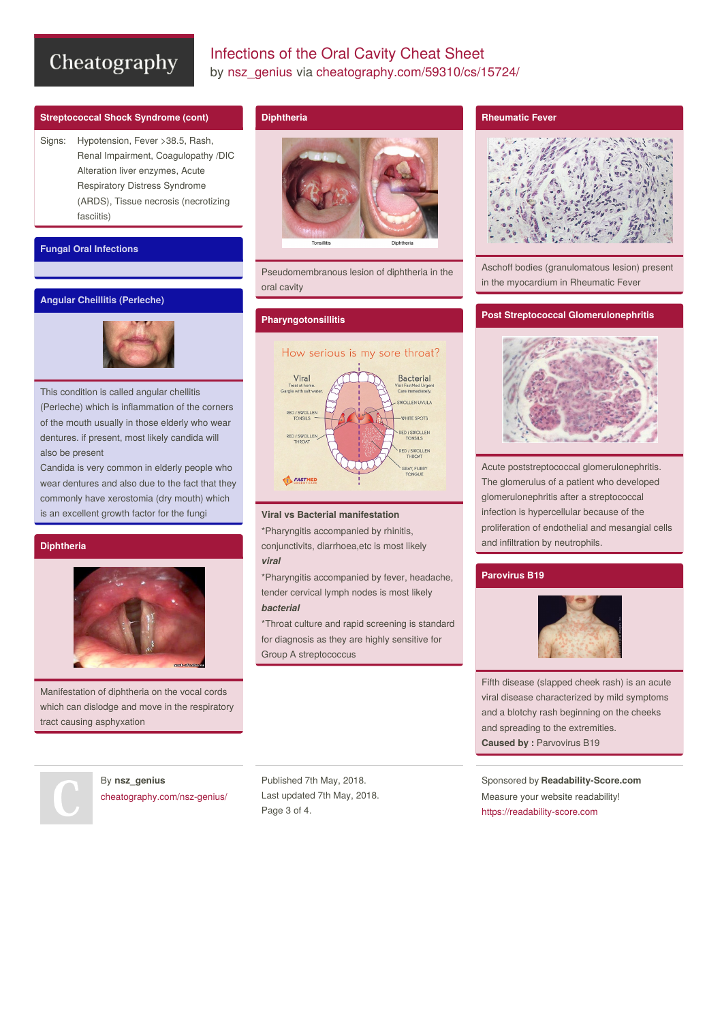# Infections of the Oral Cavity Cheat Sheet by [nsz\\_genius](http://www.cheatography.com/nsz-genius/) via [cheatography.com/59310/cs/15724/](http://www.cheatography.com/nsz-genius/cheat-sheets/infections-of-the-oral-cavity)

# **Streptococcal Shock Syndrome (cont)**

Signs: Hypotension, Fever >38.5, Rash, Renal Impairment, Coagulopathy /DIC Alteration liver enzymes, Acute Respiratory Distress Syndrome (ARDS), Tissue necrosis (necrotizing fasciitis)

# **Fungal Oral Infections**

# **Angular Cheillitis (Perleche)**



This condition is called angular chellitis (Perleche) which is inflammation of the corners of the mouth usually in those elderly who wear dentures. if present, most likely candida will also be present

Candida is very common in elderly people who wear dentures and also due to the fact that they commonly have xerostomia (dry mouth) which is an excellent growth factor for the fungi

# **Diphtheria**



Manifestation of diphtheria on the vocal cords which can dislodge and move in the respiratory tract causing asphyxation

# **Diphtheria**



Pseudomembranous lesion of diphtheria in the oral cavity

# **Pharyngotonsillitis**



# **Viral vs Bacterial manifestation**

\*Pharyngitis accompanied by rhinitis, conjunctivits, diarrhoea,etc is most likely *viral*

\*Pharyngitis accompanied by fever, headache, tender cervical lymph nodes is most likely *bacterial*

\*Throat culture and rapid screening is standard for diagnosis as they are highly sensitive for Group A streptococcus

## **Rheumatic Fever**



Aschoff bodies (granulomatous lesion) present in the myocardium in Rheumatic Fever

# **Post Streptococcal Glomerulonephritis**



Acute poststreptococcal glomerulonephritis. The glomerulus of a patient who developed glomerulonephritis after a streptococcal infection is hypercellular because of the proliferation of endothelial and mesangial cells and infiltration by neutrophils.

#### **Parovirus B19**



Fifth disease (slapped cheek rash) is an acute viral disease characterized by mild symptoms and a blotchy rash beginning on the cheeks and spreading to the extremities. **Caused by :** Parvovirus B19

Sponsored by **Readability-Score.com** Measure your website readability! <https://readability-score.com>

By **nsz\_genius** [cheatography.com/nsz-genius/](http://www.cheatography.com/nsz-genius/)

Published 7th May, 2018. Last updated 7th May, 2018. Page 3 of 4.